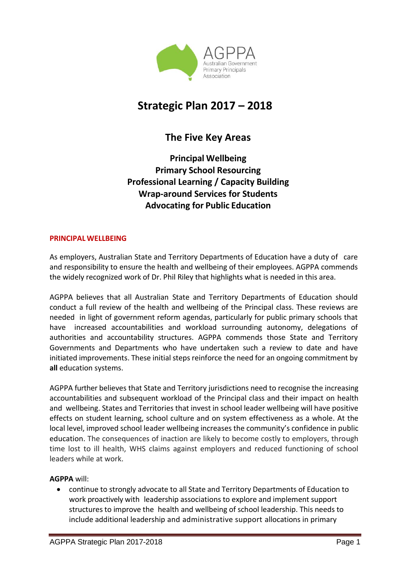

# **Strategic Plan 2017 – 2018**

# **The Five Key Areas**

**Principal Wellbeing Primary School Resourcing Professional Learning / Capacity Building Wrap-around Services for Students Advocating for Public Education**

#### **PRINCIPAL WELLBEING**

As employers, Australian State and Territory Departments of Education have a duty of care and responsibility to ensure the health and wellbeing of their employees. AGPPA commends the widely recognized work of Dr. Phil Riley that highlights what is needed in this area.

AGPPA believes that all Australian State and Territory Departments of Education should conduct a full review of the health and wellbeing of the Principal class. These reviews are needed in light of government reform agendas, particularly for public primary schools that have increased accountabilities and workload surrounding autonomy, delegations of authorities and accountability structures. AGPPA commends those State and Territory Governments and Departments who have undertaken such a review to date and have initiated improvements. These initial steps reinforce the need for an ongoing commitment by **all** education systems.

AGPPA further believes that State and Territory jurisdictions need to recognise the increasing accountabilities and subsequent workload of the Principal class and their impact on health and wellbeing. States and Territories that invest in school leader wellbeing will have positive effects on student learning, school culture and on system effectiveness as a whole. At the local level, improved school leader wellbeing increases the community's confidence in public education. The consequences of inaction are likely to become costly to employers, through time lost to ill health, WHS claims against employers and reduced functioning of school leaders while at work.

#### **AGPPA** will:

• continue to strongly advocate to all State and Territory Departments of Education to work proactively with leadership associations to explore and implement support structures to improve the health and wellbeing of school leadership. This needs to include additional leadership and administrative support allocations in primary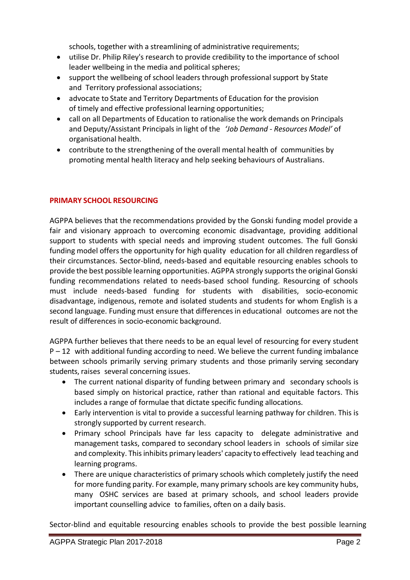schools, together with a streamlining of administrative requirements;

- utilise Dr. Philip Riley's research to provide credibility to the importance of school leader wellbeing in the media and political spheres;
- support the wellbeing of school leaders through professional support by State and Territory professional associations;
- advocate to State and Territory Departments of Education for the provision of timely and effective professional learning opportunities;
- call on all Departments of Education to rationalise the work demands on Principals and Deputy/Assistant Principals in light of the *'Job Demand - Resources Model'* of organisational health.
- contribute to the strengthening of the overall mental health of communities by promoting mental health literacy and help seeking behaviours of Australians.

#### **PRIMARY SCHOOL RESOURCING**

AGPPA believes that the recommendations provided by the Gonski funding model provide a fair and visionary approach to overcoming economic disadvantage, providing additional support to students with special needs and improving student outcomes. The full Gonski funding model offers the opportunity for high quality education for all children regardless of their circumstances. Sector-blind, needs-based and equitable resourcing enables schools to provide the best possible learning opportunities. AGPPA strongly supports the original Gonski funding recommendations related to needs-based school funding. Resourcing of schools must include needs-based funding for students with disabilities, socio-economic disadvantage, indigenous, remote and isolated students and students for whom English is a second language. Funding must ensure that differences in educational outcomes are not the result of differences in socio-economic background.

AGPPA further believes that there needs to be an equal level of resourcing for every student  $P - 12$  with additional funding according to need. We believe the current funding imbalance between schools primarily serving primary students and those primarily serving secondary students, raises several concerning issues.

- The current national disparity of funding between primary and secondary schools is based simply on historical practice, rather than rational and equitable factors. This includes a range of formulae that dictate specific funding allocations.
- Early intervention is vital to provide a successful learning pathway for children. This is strongly supported by current research.
- Primary school Principals have far less capacity to delegate administrative and management tasks, compared to secondary school leaders in schools of similar size and complexity. This inhibits primary leaders' capacity to effectively lead teaching and learning programs.
- There are unique characteristics of primary schools which completely justify the need for more funding parity. For example, many primary schools are key community hubs, many OSHC services are based at primary schools, and school leaders provide important counselling advice to families, often on a daily basis.

Sector-blind and equitable resourcing enables schools to provide the best possible learning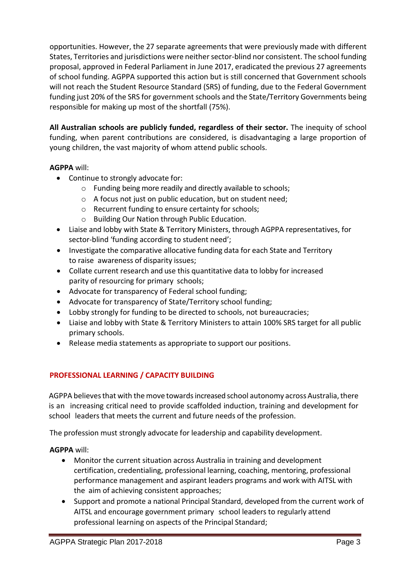opportunities. However, the 27 separate agreements that were previously made with different States, Territories and jurisdictions were neither sector-blind nor consistent. The school funding proposal, approved in Federal Parliament in June 2017, eradicated the previous 27 agreements of school funding. AGPPA supported this action but is still concerned that Government schools will not reach the Student Resource Standard (SRS) of funding, due to the Federal Government funding just 20% of the SRS for government schools and the State/Territory Governments being responsible for making up most of the shortfall (75%).

**All Australian schools are publicly funded, regardless of their sector.** The inequity of school funding, when parent contributions are considered, is disadvantaging a large proportion of young children, the vast majority of whom attend public schools.

### **AGPPA** will:

- Continue to strongly advocate for:
	- o Funding being more readily and directly available to schools;
	- o A focus not just on public education, but on student need;
	- o Recurrent funding to ensure certainty for schools;
	- o Building Our Nation through Public Education.
- Liaise and lobby with State & Territory Ministers, through AGPPA representatives, for sector-blind 'funding according to student need';
- Investigate the comparative allocative funding data for each State and Territory to raise awareness of disparity issues;
- Collate current research and use this quantitative data to lobby for increased parity of resourcing for primary schools;
- Advocate for transparency of Federal school funding;
- Advocate for transparency of State/Territory school funding;
- Lobby strongly for funding to be directed to schools, not bureaucracies;
- Liaise and lobby with State & Territory Ministers to attain 100% SRS target for all public primary schools.
- Release media statements as appropriate to support our positions.

#### **PROFESSIONAL LEARNING / CAPACITY BUILDING**

AGPPA believes that with the move towards increased school autonomy across Australia, there is an increasing critical need to provide scaffolded induction, training and development for school leaders that meets the current and future needs of the profession.

The profession must strongly advocate for leadership and capability development.

**AGPPA** will:

- Monitor the current situation across Australia in training and development certification, credentialing, professional learning, coaching, mentoring, professional performance management and aspirant leaders programs and work with AITSL with the aim of achieving consistent approaches;
- Support and promote a national Principal Standard, developed from the current work of AITSL and encourage government primary school leaders to regularly attend professional learning on aspects of the Principal Standard;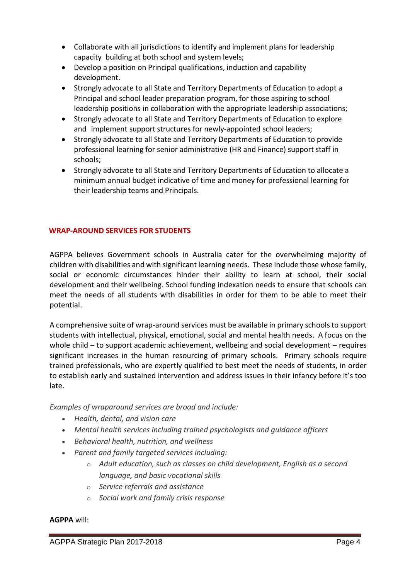- Collaborate with all jurisdictions to identify and implement plans for leadership capacity building at both school and system levels;
- Develop a position on Principal qualifications, induction and capability development.
- Strongly advocate to all State and Territory Departments of Education to adopt a Principal and school leader preparation program, for those aspiring to school leadership positions in collaboration with the appropriate leadership associations;
- Strongly advocate to all State and Territory Departments of Education to explore and implement support structures for newly-appointed school leaders;
- Strongly advocate to all State and Territory Departments of Education to provide professional learning for senior administrative (HR and Finance) support staff in schools;
- Strongly advocate to all State and Territory Departments of Education to allocate a minimum annual budget indicative of time and money for professional learning for their leadership teams and Principals.

#### **WRAP-AROUND SERVICES FOR STUDENTS**

AGPPA believes Government schools in Australia cater for the overwhelming majority of children with disabilities and with significant learning needs. These include those whose family, social or economic circumstances hinder their ability to learn at school, their social development and their wellbeing. School funding indexation needs to ensure that schools can meet the needs of all students with disabilities in order for them to be able to meet their potential.

A comprehensive suite of wrap-around services must be available in primary schools to support students with intellectual, physical, emotional, social and mental health needs. A focus on the whole child – to support academic achievement, wellbeing and social development – requires significant increases in the human resourcing of primary schools. Primary schools require trained professionals, who are expertly qualified to best meet the needs of students, in order to establish early and sustained intervention and address issues in their infancy before it's too late.

*Examples of wraparound services are broad and include:*

- *Health, dental, and vision care*
- *Mental health services including trained psychologists and guidance officers*
- *Behavioral health, nutrition, and wellness*
- *Parent and family targeted services including:*
	- o *Adult education, such as classes on child development, English as a second language, and basic vocational skills*
	- o *Service referrals and assistance*
	- o *Social work and family crisis response*

#### **AGPPA** will: